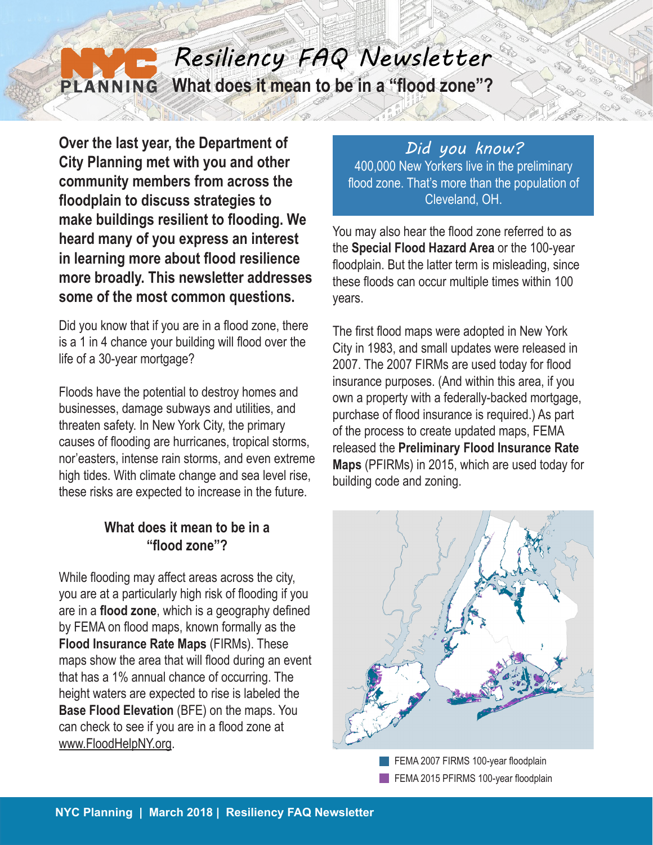## *Resiliency FAQ Newsletter* **What does it mean to be in a "flood zone"? PLANNING**

**Over the last year, the Department of City Planning met with you and other community members from across the floodplain to discuss strategies to make buildings resilient to flooding. We heard many of you express an interest in learning more about flood resilience more broadly. This newsletter addresses some of the most common questions.**

Did you know that if you are in a flood zone, there is a 1 in 4 chance your building will flood over the life of a 30-year mortgage?

Floods have the potential to destroy homes and businesses, damage subways and utilities, and threaten safety. In New York City, the primary causes of flooding are hurricanes, tropical storms, nor'easters, intense rain storms, and even extreme high tides. With climate change and sea level rise, these risks are expected to increase in the future.

## **What does it mean to be in a "flood zone"?**

While flooding may affect areas across the city, you are at a particularly high risk of flooding if you are in a **flood zone**, which is a geography defined by FEMA on flood maps, known formally as the **Flood Insurance Rate Maps** (FIRMs). These maps show the area that will flood during an event that has a 1% annual chance of occurring. The height waters are expected to rise is labeled the **Base Flood Elevation** (BFE) on the maps. You can check to see if you are in a flood zone at www.FloodHelpNY.org.

*Did you know?* 400,000 New Yorkers live in the preliminary flood zone. That's more than the population of Cleveland, OH.

You may also hear the flood zone referred to as the **Special Flood Hazard Area** or the 100-year floodplain. But the latter term is misleading, since these floods can occur multiple times within 100 years.

The first flood maps were adopted in New York City in 1983, and small updates were released in 2007. The 2007 FIRMs are used today for flood insurance purposes. (And within this area, if you own a property with a federally-backed mortgage, purchase of flood insurance is required.) As part of the process to create updated maps, FEMA released the **Preliminary Flood Insurance Rate Maps** (PFIRMs) in 2015, which are used today for building code and zoning.



FEMA 2007 FIRMS 100-year floodplain FEMA 2015 PFIRMS 100-year floodplain